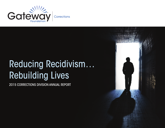

# Reducing Recidivism… Rebuilding Lives

2015 CORRECTIONS DIVISION ANNUAL REPORT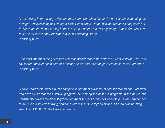*"I am leaving here (prison) a different man than I was when I came. It's not just that something has changed, but everything has changed. I don't know when it happened, or even how it happened, but I do know that the man returning home is not the man that left over a year ago. Thanks Gateway. I can truly see my castle and I know how to keep it standing strong."* In-custody Client

*"The most important thing I realized was that tomorrow does not have to be what yesterday was. They say it over and over again here and it finally hit me, I do have the power to create a new tomorrow."* In-custody Client

*"I have worked with several public and private treatment providers, at both the federal and state level, and have found that the Gateway programs are among the best run programs in the nation and consistently provide the highest quality treatment services. Gateway's leadership is to be commended for pursuing a forward thinking approach with respect to adapting evidence-based programming."* Kevin Knight, Ph.D., TCU IBR Associate Director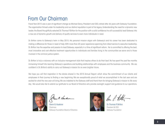## From Our Chairman

Fiscal Year 2015 was a year of significant change as Michael Darcy, President and CEO, retired after 46 years with Gateway Foundation. The organization thrived under his leadership and our distinct reputation is part of his legacy. Understanding the need for a dynamic new leader, the Board thoughtfully selected Dr. Thomas P. Britton for the position with a solid confidence he will successfully lead Gateway into a new era of dynamic growth and delivery of quality services to even more individuals in need.

Dr. Britton came to Gateway's helm in May 2015. His personal mission aligns with Gateway's and his career has been dedicated to making a difference for those in need of help. With more than 20 years' experience spanning from direct service to executive leadership, Dr. Britton has the expertise and passion to lead Gateway, especially in a time of significant reform. He is committed to offering the best, most innovative and cost effective treatment opportunities to individuals and families living in the communities we serve and to those involved in the criminal justice system.

Dr. Britton is truly a visionary with an inclusive management style that inspires others to do their best. He has spent the past few months immersing himself into learning Gateway's operations and building relationships with employees and the business community. We are confident in Dr. Britton's ability to carry out Gateway's mission for an even brighter future.

We hope you will find inspiration in the stories shared in the 2015 Annual Report, which show the commitment of our clients and employees in their journey to finding a new beginning. We are exceptionally proud of what we accomplished in the last year and are excited for what the new year will bring. We are indebted to the Gateway staff and thank them for bringing Gateway's mission to life every day. We would also like to extend our gratitude to our Board of Directors who provide oversight, support and guidance to our operations.



Glenn B. Huebner Chairman Gateway Foundation Board of Directors



Dr. Thomas P. Britton President & CEO Gateway Foundation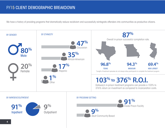## FY15 CLIENT DEMOGRAPHIC BREAKDOWN

We have a history of providing programs that dramatically reduce recidivism and successfully reintegrate offenders into communities as productive citizens.

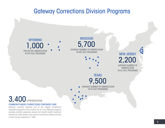## Gateway Corrections Division Programs

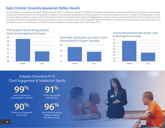## Texas Christian University Assessment Battery Results

For years Gateway has partnered with Texas Christian University Institute of Behavioral Research (TCU/IBR) to incorporate a research-based assessment protocol into our treatment model, thereby ensuring that treatment services are directly related to individual risks and needs throughout the treatment episode. Our Corrections programs administer a battery of TCU assessments at intake and various follow-up periods to gauge whether treatment services are having a positive effect on the client. Aggregated pre- and post- survey results demonstrate that Gateway has been successful in lowering risk factors associated with recidivism and relapse. Several key indicators from the TCU assessment battery demonstrate how treatment services positively impact psychological and criminogenic issues. The results below are from MO institutional programs between October 2014 and October 2015.

### PTSD Symptom Severity Among Gateway Clients Showed Significant Decreases



Clients Were Significantly Less Likely To Justify Criminal Activity At Program Discharge



### Criminal Rationalization Was Notably Lower At Discharge Than At Intake



Gateway Corrections FY15 Client Engagement & Satisfaction Results

Clients indicated they were engaged in treatment **99%**

**90%** Clients who felt supported by their peers

**91%**

Clients were satisfied with treatment

**96%**

Clients who felt a positive therapeutic alliance with their counselor

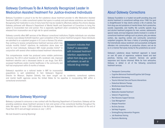## Gateway Continues To Be A Nationally Recognized Leader In Medication Assisted Treatment For Justice-Involved Individuals

Gateway Foundation is proud to be the first substance abuse treatment provider to offer Medication Assisted Treatment (MAT) in a state correctional system that spans in-custody and post-release substance use treatment. Recognizing that medication is one of many tools that may be needed to effectively address this chronic disease, Gateway partnered with Missouri's Department of Mental Health and Department of Corrections to bring this option to incarcerated men and women. This is especially significant when considering that people recently released from incarceration are at high risk for opioid overdose.

Gateway currently offers MAT services at five Missouri correctional institutions. Eligible individuals can volunteer to receive a pre-release Vivitrol® injection; upon completion of the in-prison treatment program, these individuals

are admitted to an outpatient program in St. Louis or Kansas City where they continue to receive comprehensive treatment services which may include monthly Vivitrol® injections. As medication alone does not work for most individuals, Gateway's MAT model provides Vivitrol® in conjunction with several other evidence-based treatment interventions.

This comprehensive model has produced some notable preliminary outcomes. The 2014 cohort boasted an 8% recidivism rate, improved treatment retention and a decreased desire to use drugs. Over 80% accessed healthcare and/or mental healthcare in the community and half had employment within 8 months of release.

Gateway's reputation as a national leader in MAT for incarcerated populations is well established. In fact, Gateway's Regional

Director for Missouri, Stephen Doherty, has been sought out by academia, correctional systems, and mental health agencies across the United States for his expertise in incorporating MAT within a correctional environment.

## Welcome Gateway Wyoming!

Gateway is pleased to announce a new contract with the Wyoming Department of Corrections. Gateway will be providing substance abuse treatment services to men and women at five correctional facilities throughout the state. We expect to serve 1,000 individuals in the first year. Gateway was awarded this contract at the end of Fiscal Year 2015 and will begin services on July 1, 2015.

We look forward to serving Wyoming!

Research indicates that Vivitrol® is associated with increased treatment retention, expectancy to refrain from drug use, and self-esteem, as well as reduced drug cravings.

## About Gateway Corrections

Gateway Foundation is a trusted non-profit providing drug and alcohol treatment in correctional settings since 1968. Our goal is straightforward: To help clients achieve a life of sobriety, free from drug use and symptoms of mental illness, that is productive, socially responsible, and healthy. We currently operate drug and alcohol treatment programs for men, women, adolescents, special needs, and dual diagnosis clients involved in a variety of correctional treatment settings such as prisons, jails, pre-release centers, day reporting centers and community corrections/ outpatient programs. We have a history of providing programs that dramatically reduce recidivism and successfully reintegrate offenders into communities as productive citizens, and we do so in a manner that saves money for the jurisdictions we serve!

Gateway's substance abuse treatment approach is based on over 40 years of experience, evidence based and best practices, training and research. Services are gender responsive and trauma informed. While far from exhaustive, Gateway is skilled in all of the following correctional treatment services.

- Therapeutic Communities
- Cognitive Behavioral Treatment/Cognitive Self-Change
- Motivational Interviewing
- Trauma Informed Care and Trauma Interventions
- Dialectical Behavior Therapy
- Mindfulness-based Recovery
- Matrix Model
- Medication Assisted Treatment
- Veteran's Programming
- Peer Recovery Support Services
- Case Management
- Relapse Prevention
- Re-Entry Services
- Self-Help Programs
- Drinking/Driving Intervention Programs
- Job Readiness Training
- Electronic Monitoring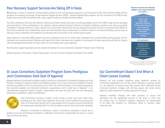## Peer Recovery Support Services Are Taking Off In Texas

Maintaining a culture of excellence involves staying abreast of new and developing practices in the behavioral health and corrections fields and few practices are emerging as strongly as Peer Recovery Support Services (PRSS). Several Gateway Texas programs are fully immersed in the PRSS model. Studies have shown that involvement with a peer support model has multiple beneficial effects.

Four TDCJ institutions that work with Gateway- Brownwood, Estelle, Henley and Jester- are training eligible clients in the PRSS model and are providing peer specialists to clients participating in the substance abuse treatment program. Clients are trained by Gateway counselors who have successfully completed a "Training of Trainers" course. Clients may continue their training once they are released from prison and earn an advanced Peer Mentor or Peer Coach credential. Once credentialed, clients can hold volunteer roles or employment in treatment centers or correctional facilities, and can play an advocacy role for individuals with substance use disorders who are involved in the criminal justice system.

Client response to the Texas PRSS program has been substantial. Thus far, 22 clients have completed the in-custody PRSS training program and 47 individuals are currently enrolled. Gateway staff reports that clients have been very receptive to working with the peer specialists and that the dropout rate has decreased dramatically for those clients who are working with a peer specialist.

Peer Recovery Support Specialists are also utilized at Gateway's St. Louis Corrections Outpatient Program and in Wyoming.

Gateway believes in the value of "peers helping peers" and will continue to support and invest in this model.

#### Research has shown that individuals engaged in peer support experience an increase in:

Quality of life Coping ability Medication adherence Social network & support Daily functioning Illness management Self-esteem Rate of employment Earnings

#### and a decrease in:



Source: Solomon, "Peer Support/Peer Provided Services Underlying Processes, Benefits, and Critical Ingredients," Psychiatric Rehabilitation Journal, 2004.

## St. Louis Corrections Outpatient Program Earns Prestigious Joint Commission Gold Seal Of Approval

Gateway believes in providing the highest quality of services to individuals in its treatment programs and has therefore undergone a rigorous national accreditation process. The St. Louis Corrections Outpatient Program has been accredited by The Joint Commission since 2013. The Joint Commission is the leading organization that accredits hospitals and behavioral healthcare organizations, and its Gold Seal of Approval™ is an internationally recognized symbol of quality. Organizations that earn the Gold Seal have met demanding performance standards to obtain this distinction.



Joint Commission surveyors conduct on-site surveys at least once every three years, providing less than seven days advanced notice and at times performing unannounced visits. In its most recent survey, the St. Louis program did not receive any recommendations for improvement, indicating that it is in full compliance with all Joint Commission standards.

Gateway is committed to instituting a culture of excellence everywhere it serves and is guided not only by demanding accreditation, certification and licensure requirements but also by a robust code of ethics and values.

## Our Committment Doesn't End When A Client Leaves Custody

Gateway not only provides substance abuse treatment services for incarcerated populations, but we also assist individuals in gaining access to a full spectrum of services upon their release. Most individuals require continuing treatment, linkages with self-help groups and social service agencies, and/or assistance in finding appropriate housing.

Gateway maintains linkages with other providers to ensure that individuals can find appropriate services in the areas to which they are moving, and our treatment programs emphasize the development of life skills that enhance an individual's ability to maintain sober, crime-free lives.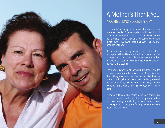

## A Mother's Thank You A CORRECTIONS SUCCESS STORY

"I have cried so many tears through the years. My son has spent nearly 15 years in prison and I think that at some point I had come to realize he would never come home to stay. It was a miserable realization. He has told me so many times how he is changing, but nothing ever changed until now.

It's not what he is saying so much as it is that I hear him speak with a different voice. I hear the voice of a changed man. It's not just his mother speaking either. His wife and his son have even mentioned how different he seems and sounds.

Thank you Gateway for all that you have done…and for caring enough to do the work you do. Society is more than willing to write off men like my son, stick them in prison, and forget about them. I realize that you could do the same thing, just show up to work every day and clock out at the end of the shift. Nobody pays you to care.

Gateway is different. That seems to just be a part of who you are. I needed you to know the work you do matters in a very big way. I am starting to see my son in a way I have spent too many years fearing I would never see again. God bless you!"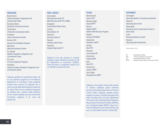#### **MISSOURI**

*Correctional Center*

Bonne Terre *Eastern Reception, Diagnostic and Correctional Center* Bowling Green *Northeast Correctional Center* **Chillicothe** *Chillicothe Correctional Center* Fordland *Ozark Correctional Center* Kansas City *Kansas City Outpatient Program* **Marvville** *Maryville Treatment Center* St Joseph *Western Reception, Diagnostic and Correctional Center* St. Louis *St. Louis Outpatient Program* Vandalia *Women's Eastern Reception, Diagnostic and* 

Gateway operates an assessment center and six (6) treatment programs for the Missouri Department of Corrections. These programs include three in-prison TC programs, two of which are fully dedicated treatment institutions for males. There are two additional programs for females and a special needs treatment unit for males. Gateway also has Community Corrections programs in St. Louis and Kansas City.

#### NEW JERSEY

Annandale *Mountainview Youth CF Mountainview Youth CF II (FMU)* **Bridgeton** *South Woods State Prison* **Clinton** *Edna Mahan CF* Delmont *Southern State CF* Newark *Northern State Prison* Yardville *Garden State Youth CF*

Gateway is the sole provider of in-prison substance abuse treatment services for the NJ Department of Corrections (NJDOC). There are seven (7) programs housed at six (6) institutions across the state.

**TEXAS** 

Brownwood *Havins IPTC* **Breckenridge** *Sayle SAFPF* Burnet *Halbert SAFPF Halbert DWI Recovery Program* Dayton *Henley IPTC/SAFPF* **Gatesville** *Hackberry SAFPF* Hondo *Ney IPTC* Houston *South Texas ISF* Huntsville *Estelle SAFPF* Kyle *Kyle IPTC* Richmond *Jester I SAFPF*  San Diego *Glossbrenner SAFPF*

Gateway is the largest not-for-profit provider of contract substance abuse treatment services for the Texas Department of Criminal Justice (TDCJ). Gateway operates eleven programs housed in facilities throughout the state, including: three (3) Texas Department of Criminal Justice Special Needs Substance Abuse Felony Punishment Facilities (SAFPFs); four (4) Regular Needs SAFPFs; three (3) In-Prison Therapeutic Communities (IPTCs); and one (1) Intermediate Sanction Facility (ISF).

#### WYOMING\*

**Torrington** *Wyoming Medium Correctional Institution*  Riverton *Wyoming Honor Farm* **Newcastle** *Wyoming Honor Conservation Camp & Boot Camp* Lusk *Wyoming Women's Center* Rawlins *Wyoming State Penitentiary*

\*Operations Began July 2015

- CF Correctional Facility<br>
IPTC In-Prison Therapeutic In-Prison Therapeutic Community **ISF** Intermediate Sanction Facility<br>
SAFPE Substance Abuse Felony Punis
	- Substance Abuse Felony Punishment Facility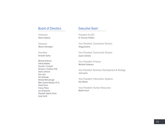### Board of Directors

Chairman Glenn Huebner

**Treasurer** Warren Harrington

**Secretary** Amalesh Sanku

Michael Anthony Sidney Bradley Donald S. Crossett Richard L. Eichholz, PhD David Johnson Arla Lach Pat LePenske Richard McCullough Mary Cesare-Murphy, Ph.D. David Onion France Pitera Len Shankman Elizabeth Ogilvie Simer Andy Smith

## Executive Team

President & CEO Dr. Thomas P. Britton

Vice President, Corrections Division Gregg Dockins

Vice President, Community Division Susan Cambria

Vice President, Finance Michelle Dickerson

Vice President, Business Development & Strategy Jodi Levine

Vice President, Information Systems Dan Molitor

Vice President, Human Resources Martha Yount